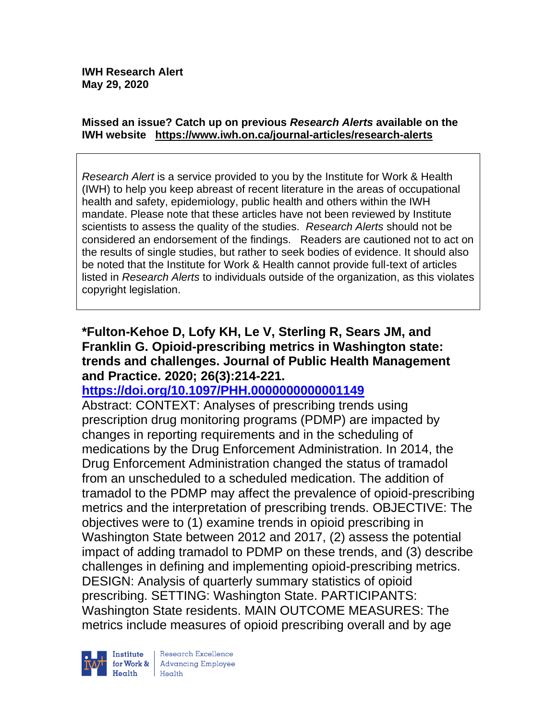#### **Missed an issue? Catch up on previous** *Research Alerts* **available on the [IWH website](http://www.iwh.on.ca/research-alerts) <https://www.iwh.on.ca/journal-articles/research-alerts>**

*Research Alert* is a service provided to you by the Institute for Work & Health (IWH) to help you keep abreast of recent literature in the areas of occupational health and safety, epidemiology, public health and others within the IWH mandate. Please note that these articles have not been reviewed by Institute scientists to assess the quality of the studies. *Research Alerts* should not be considered an endorsement of the findings. Readers are cautioned not to act on the results of single studies, but rather to seek bodies of evidence. It should also be noted that the Institute for Work & Health cannot provide full-text of articles listed in *Research Alerts* to individuals outside of the organization, as this violates copyright legislation.

#### **\*Fulton-Kehoe D, Lofy KH, Le V, Sterling R, Sears JM, and Franklin G. Opioid-prescribing metrics in Washington state: trends and challenges. Journal of Public Health Management and Practice. 2020; 26(3):214-221.**

## **<https://doi.org/10.1097/PHH.0000000000001149>**

Abstract: CONTEXT: Analyses of prescribing trends using prescription drug monitoring programs (PDMP) are impacted by changes in reporting requirements and in the scheduling of medications by the Drug Enforcement Administration. In 2014, the Drug Enforcement Administration changed the status of tramadol from an unscheduled to a scheduled medication. The addition of tramadol to the PDMP may affect the prevalence of opioid-prescribing metrics and the interpretation of prescribing trends. OBJECTIVE: The objectives were to (1) examine trends in opioid prescribing in Washington State between 2012 and 2017, (2) assess the potential impact of adding tramadol to PDMP on these trends, and (3) describe challenges in defining and implementing opioid-prescribing metrics. DESIGN: Analysis of quarterly summary statistics of opioid prescribing. SETTING: Washington State. PARTICIPANTS: Washington State residents. MAIN OUTCOME MEASURES: The metrics include measures of opioid prescribing overall and by age

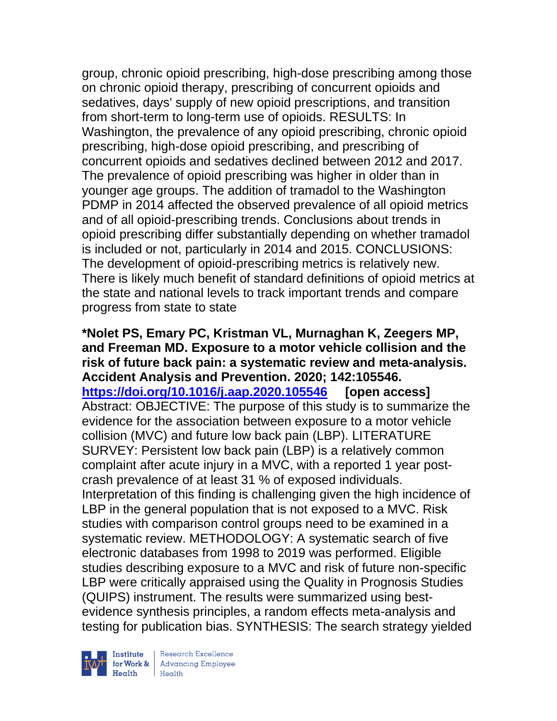group, chronic opioid prescribing, high-dose prescribing among those on chronic opioid therapy, prescribing of concurrent opioids and sedatives, days' supply of new opioid prescriptions, and transition from short-term to long-term use of opioids. RESULTS: In Washington, the prevalence of any opioid prescribing, chronic opioid prescribing, high-dose opioid prescribing, and prescribing of concurrent opioids and sedatives declined between 2012 and 2017. The prevalence of opioid prescribing was higher in older than in younger age groups. The addition of tramadol to the Washington PDMP in 2014 affected the observed prevalence of all opioid metrics and of all opioid-prescribing trends. Conclusions about trends in opioid prescribing differ substantially depending on whether tramadol is included or not, particularly in 2014 and 2015. CONCLUSIONS: The development of opioid-prescribing metrics is relatively new. There is likely much benefit of standard definitions of opioid metrics at the state and national levels to track important trends and compare progress from state to state

**\*Nolet PS, Emary PC, Kristman VL, Murnaghan K, Zeegers MP, and Freeman MD. Exposure to a motor vehicle collision and the risk of future back pain: a systematic review and meta-analysis. Accident Analysis and Prevention. 2020; 142:105546. <https://doi.org/10.1016/j.aap.2020.105546> [open access]** Abstract: OBJECTIVE: The purpose of this study is to summarize the evidence for the association between exposure to a motor vehicle collision (MVC) and future low back pain (LBP). LITERATURE SURVEY: Persistent low back pain (LBP) is a relatively common complaint after acute injury in a MVC, with a reported 1 year postcrash prevalence of at least 31 % of exposed individuals. Interpretation of this finding is challenging given the high incidence of LBP in the general population that is not exposed to a MVC. Risk studies with comparison control groups need to be examined in a systematic review. METHODOLOGY: A systematic search of five electronic databases from 1998 to 2019 was performed. Eligible studies describing exposure to a MVC and risk of future non-specific LBP were critically appraised using the Quality in Prognosis Studies (QUIPS) instrument. The results were summarized using bestevidence synthesis principles, a random effects meta-analysis and testing for publication bias. SYNTHESIS: The search strategy yielded

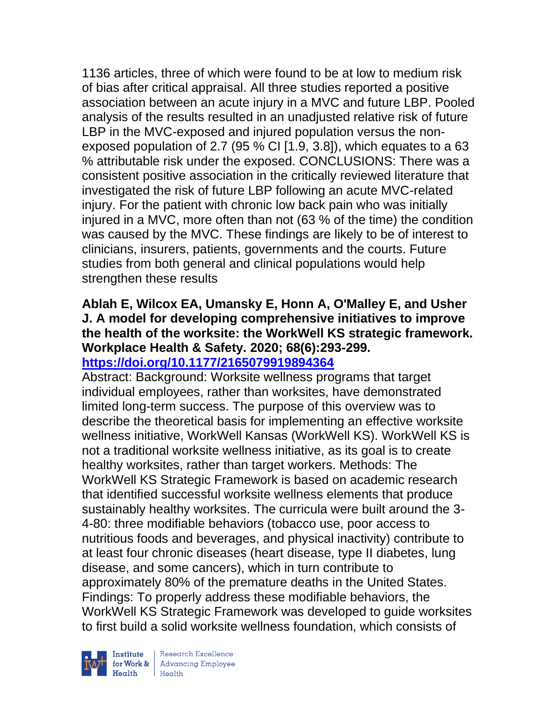1136 articles, three of which were found to be at low to medium risk of bias after critical appraisal. All three studies reported a positive association between an acute injury in a MVC and future LBP. Pooled analysis of the results resulted in an unadjusted relative risk of future LBP in the MVC-exposed and injured population versus the nonexposed population of 2.7 (95 % CI [1.9, 3.8]), which equates to a 63 % attributable risk under the exposed. CONCLUSIONS: There was a consistent positive association in the critically reviewed literature that investigated the risk of future LBP following an acute MVC-related injury. For the patient with chronic low back pain who was initially injured in a MVC, more often than not (63 % of the time) the condition was caused by the MVC. These findings are likely to be of interest to clinicians, insurers, patients, governments and the courts. Future studies from both general and clinical populations would help strengthen these results

## **Ablah E, Wilcox EA, Umansky E, Honn A, O'Malley E, and Usher J. A model for developing comprehensive initiatives to improve the health of the worksite: the WorkWell KS strategic framework. Workplace Health & Safety. 2020; 68(6):293-299. <https://doi.org/10.1177/2165079919894364>**

Abstract: Background: Worksite wellness programs that target individual employees, rather than worksites, have demonstrated limited long-term success. The purpose of this overview was to describe the theoretical basis for implementing an effective worksite wellness initiative, WorkWell Kansas (WorkWell KS). WorkWell KS is not a traditional worksite wellness initiative, as its goal is to create healthy worksites, rather than target workers. Methods: The WorkWell KS Strategic Framework is based on academic research that identified successful worksite wellness elements that produce sustainably healthy worksites. The curricula were built around the 3- 4-80: three modifiable behaviors (tobacco use, poor access to nutritious foods and beverages, and physical inactivity) contribute to at least four chronic diseases (heart disease, type II diabetes, lung disease, and some cancers), which in turn contribute to approximately 80% of the premature deaths in the United States. Findings: To properly address these modifiable behaviors, the WorkWell KS Strategic Framework was developed to guide worksites to first build a solid worksite wellness foundation, which consists of

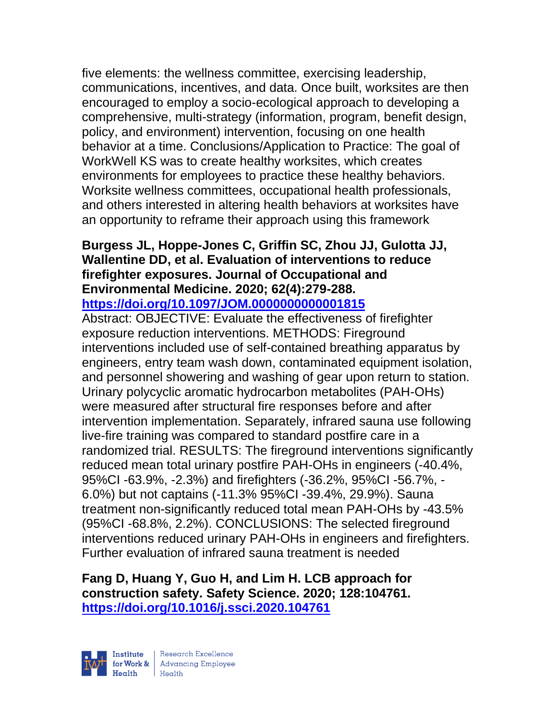five elements: the wellness committee, exercising leadership, communications, incentives, and data. Once built, worksites are then encouraged to employ a socio-ecological approach to developing a comprehensive, multi-strategy (information, program, benefit design, policy, and environment) intervention, focusing on one health behavior at a time. Conclusions/Application to Practice: The goal of WorkWell KS was to create healthy worksites, which creates environments for employees to practice these healthy behaviors. Worksite wellness committees, occupational health professionals, and others interested in altering health behaviors at worksites have an opportunity to reframe their approach using this framework

#### **Burgess JL, Hoppe-Jones C, Griffin SC, Zhou JJ, Gulotta JJ, Wallentine DD, et al. Evaluation of interventions to reduce firefighter exposures. Journal of Occupational and Environmental Medicine. 2020; 62(4):279-288. <https://doi.org/10.1097/JOM.0000000000001815>**

Abstract: OBJECTIVE: Evaluate the effectiveness of firefighter exposure reduction interventions. METHODS: Fireground interventions included use of self-contained breathing apparatus by engineers, entry team wash down, contaminated equipment isolation, and personnel showering and washing of gear upon return to station. Urinary polycyclic aromatic hydrocarbon metabolites (PAH-OHs) were measured after structural fire responses before and after intervention implementation. Separately, infrared sauna use following live-fire training was compared to standard postfire care in a randomized trial. RESULTS: The fireground interventions significantly reduced mean total urinary postfire PAH-OHs in engineers (-40.4%, 95%CI -63.9%, -2.3%) and firefighters (-36.2%, 95%CI -56.7%, - 6.0%) but not captains (-11.3% 95%CI -39.4%, 29.9%). Sauna treatment non-significantly reduced total mean PAH-OHs by -43.5% (95%CI -68.8%, 2.2%). CONCLUSIONS: The selected fireground interventions reduced urinary PAH-OHs in engineers and firefighters. Further evaluation of infrared sauna treatment is needed

**Fang D, Huang Y, Guo H, and Lim H. LCB approach for construction safety. Safety Science. 2020; 128:104761. <https://doi.org/10.1016/j.ssci.2020.104761>** 



Institute | Research Excellence<br>
for Work & | Advancing Employee<br>
Health Health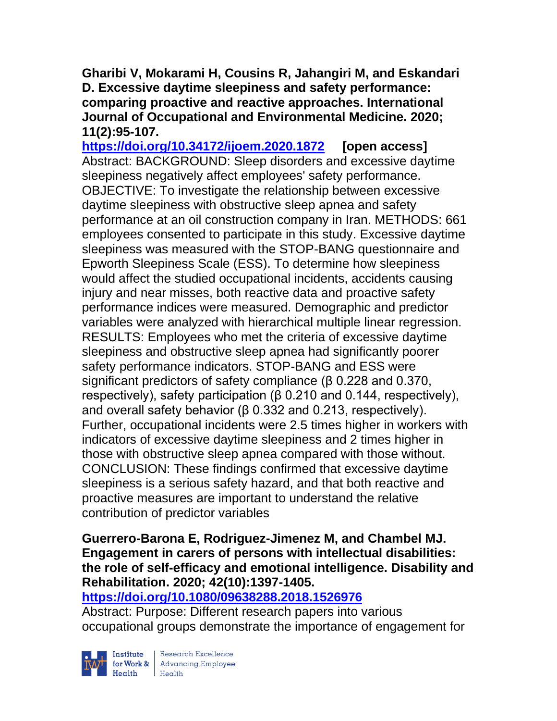**Gharibi V, Mokarami H, Cousins R, Jahangiri M, and Eskandari D. Excessive daytime sleepiness and safety performance: comparing proactive and reactive approaches. International Journal of Occupational and Environmental Medicine. 2020; 11(2):95-107.** 

**<https://doi.org/10.34172/ijoem.2020.1872> [open access]** Abstract: BACKGROUND: Sleep disorders and excessive daytime sleepiness negatively affect employees' safety performance. OBJECTIVE: To investigate the relationship between excessive daytime sleepiness with obstructive sleep apnea and safety performance at an oil construction company in Iran. METHODS: 661 employees consented to participate in this study. Excessive daytime sleepiness was measured with the STOP-BANG questionnaire and Epworth Sleepiness Scale (ESS). To determine how sleepiness would affect the studied occupational incidents, accidents causing injury and near misses, both reactive data and proactive safety performance indices were measured. Demographic and predictor variables were analyzed with hierarchical multiple linear regression. RESULTS: Employees who met the criteria of excessive daytime sleepiness and obstructive sleep apnea had significantly poorer safety performance indicators. STOP-BANG and ESS were significant predictors of safety compliance (β 0.228 and 0.370, respectively), safety participation (β 0.210 and 0.144, respectively), and overall safety behavior (β 0.332 and 0.213, respectively). Further, occupational incidents were 2.5 times higher in workers with indicators of excessive daytime sleepiness and 2 times higher in those with obstructive sleep apnea compared with those without. CONCLUSION: These findings confirmed that excessive daytime sleepiness is a serious safety hazard, and that both reactive and proactive measures are important to understand the relative contribution of predictor variables

**Guerrero-Barona E, Rodriguez-Jimenez M, and Chambel MJ. Engagement in carers of persons with intellectual disabilities: the role of self-efficacy and emotional intelligence. Disability and Rehabilitation. 2020; 42(10):1397-1405.** 

## **<https://doi.org/10.1080/09638288.2018.1526976>**

Abstract: Purpose: Different research papers into various occupational groups demonstrate the importance of engagement for



Institute Research Excellence<br>
for Work & Advancing Employee<br>
Health Health | Research Excellence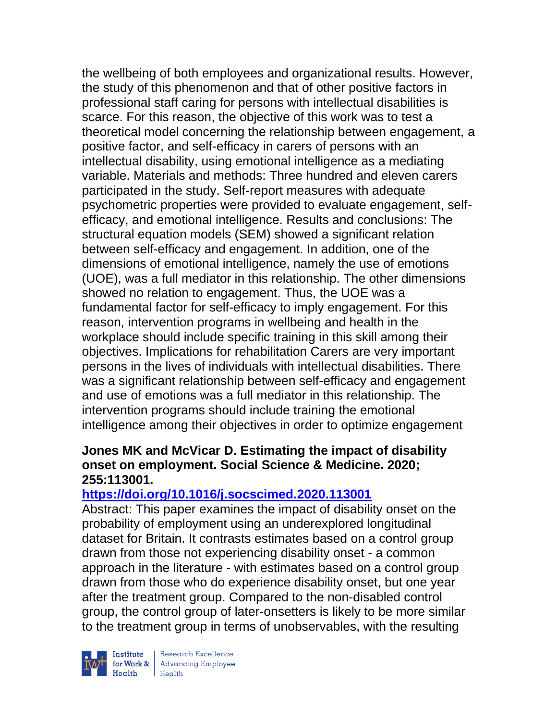the wellbeing of both employees and organizational results. However, the study of this phenomenon and that of other positive factors in professional staff caring for persons with intellectual disabilities is scarce. For this reason, the objective of this work was to test a theoretical model concerning the relationship between engagement, a positive factor, and self-efficacy in carers of persons with an intellectual disability, using emotional intelligence as a mediating variable. Materials and methods: Three hundred and eleven carers participated in the study. Self-report measures with adequate psychometric properties were provided to evaluate engagement, selfefficacy, and emotional intelligence. Results and conclusions: The structural equation models (SEM) showed a significant relation between self-efficacy and engagement. In addition, one of the dimensions of emotional intelligence, namely the use of emotions (UOE), was a full mediator in this relationship. The other dimensions showed no relation to engagement. Thus, the UOE was a fundamental factor for self-efficacy to imply engagement. For this reason, intervention programs in wellbeing and health in the workplace should include specific training in this skill among their objectives. Implications for rehabilitation Carers are very important persons in the lives of individuals with intellectual disabilities. There was a significant relationship between self-efficacy and engagement and use of emotions was a full mediator in this relationship. The intervention programs should include training the emotional intelligence among their objectives in order to optimize engagement

## **Jones MK and McVicar D. Estimating the impact of disability onset on employment. Social Science & Medicine. 2020; 255:113001.**

## **<https://doi.org/10.1016/j.socscimed.2020.113001>**

Abstract: This paper examines the impact of disability onset on the probability of employment using an underexplored longitudinal dataset for Britain. It contrasts estimates based on a control group drawn from those not experiencing disability onset - a common approach in the literature - with estimates based on a control group drawn from those who do experience disability onset, but one year after the treatment group. Compared to the non-disabled control group, the control group of later-onsetters is likely to be more similar to the treatment group in terms of unobservables, with the resulting



| Research Excellence Finantium Research Excellence<br>
Finantium Research Employee<br>
Realth Health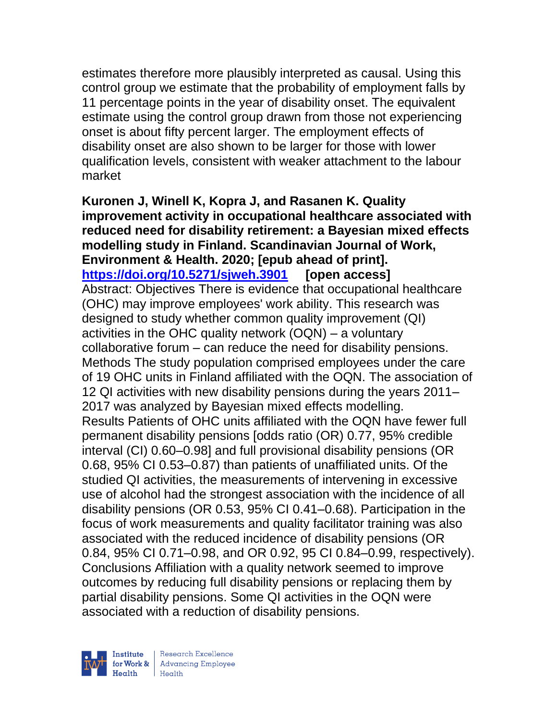estimates therefore more plausibly interpreted as causal. Using this control group we estimate that the probability of employment falls by 11 percentage points in the year of disability onset. The equivalent estimate using the control group drawn from those not experiencing onset is about fifty percent larger. The employment effects of disability onset are also shown to be larger for those with lower qualification levels, consistent with weaker attachment to the labour market

**Kuronen J, Winell K, Kopra J, and Rasanen K. Quality improvement activity in occupational healthcare associated with reduced need for disability retirement: a Bayesian mixed effects modelling study in Finland. Scandinavian Journal of Work, Environment & Health. 2020; [epub ahead of print]. <https://doi.org/10.5271/sjweh.3901> [open access]** Abstract: Objectives There is evidence that occupational healthcare (OHC) may improve employees' work ability. This research was designed to study whether common quality improvement (QI) activities in the OHC quality network (OQN) – a voluntary collaborative forum – can reduce the need for disability pensions. Methods The study population comprised employees under the care of 19 OHC units in Finland affiliated with the OQN. The association of 12 QI activities with new disability pensions during the years 2011– 2017 was analyzed by Bayesian mixed effects modelling. Results Patients of OHC units affiliated with the OQN have fewer full permanent disability pensions [odds ratio (OR) 0.77, 95% credible interval (CI) 0.60–0.98] and full provisional disability pensions (OR 0.68, 95% CI 0.53–0.87) than patients of unaffiliated units. Of the studied QI activities, the measurements of intervening in excessive use of alcohol had the strongest association with the incidence of all disability pensions (OR 0.53, 95% CI 0.41–0.68). Participation in the focus of work measurements and quality facilitator training was also associated with the reduced incidence of disability pensions (OR 0.84, 95% CI 0.71–0.98, and OR 0.92, 95 CI 0.84–0.99, respectively). Conclusions Affiliation with a quality network seemed to improve outcomes by reducing full disability pensions or replacing them by partial disability pensions. Some QI activities in the OQN were associated with a reduction of disability pensions.

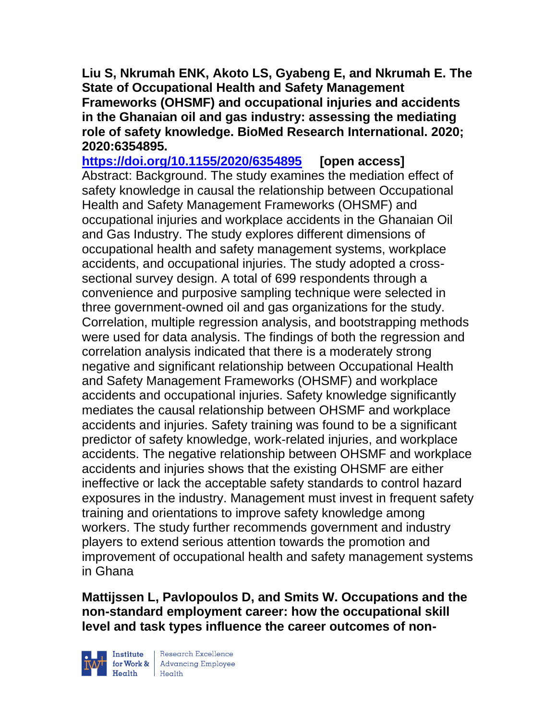**Liu S, Nkrumah ENK, Akoto LS, Gyabeng E, and Nkrumah E. The State of Occupational Health and Safety Management Frameworks (OHSMF) and occupational injuries and accidents in the Ghanaian oil and gas industry: assessing the mediating role of safety knowledge. BioMed Research International. 2020; 2020:6354895.**

**<https://doi.org/10.1155/2020/6354895> [open access]** Abstract: Background. The study examines the mediation effect of safety knowledge in causal the relationship between Occupational Health and Safety Management Frameworks (OHSMF) and occupational injuries and workplace accidents in the Ghanaian Oil and Gas Industry. The study explores different dimensions of occupational health and safety management systems, workplace accidents, and occupational injuries. The study adopted a crosssectional survey design. A total of 699 respondents through a convenience and purposive sampling technique were selected in three government-owned oil and gas organizations for the study. Correlation, multiple regression analysis, and bootstrapping methods were used for data analysis. The findings of both the regression and correlation analysis indicated that there is a moderately strong negative and significant relationship between Occupational Health and Safety Management Frameworks (OHSMF) and workplace accidents and occupational injuries. Safety knowledge significantly mediates the causal relationship between OHSMF and workplace accidents and injuries. Safety training was found to be a significant predictor of safety knowledge, work-related injuries, and workplace accidents. The negative relationship between OHSMF and workplace accidents and injuries shows that the existing OHSMF are either ineffective or lack the acceptable safety standards to control hazard exposures in the industry. Management must invest in frequent safety training and orientations to improve safety knowledge among workers. The study further recommends government and industry players to extend serious attention towards the promotion and improvement of occupational health and safety management systems in Ghana

**Mattijssen L, Pavlopoulos D, and Smits W. Occupations and the non-standard employment career: how the occupational skill level and task types influence the career outcomes of non-**

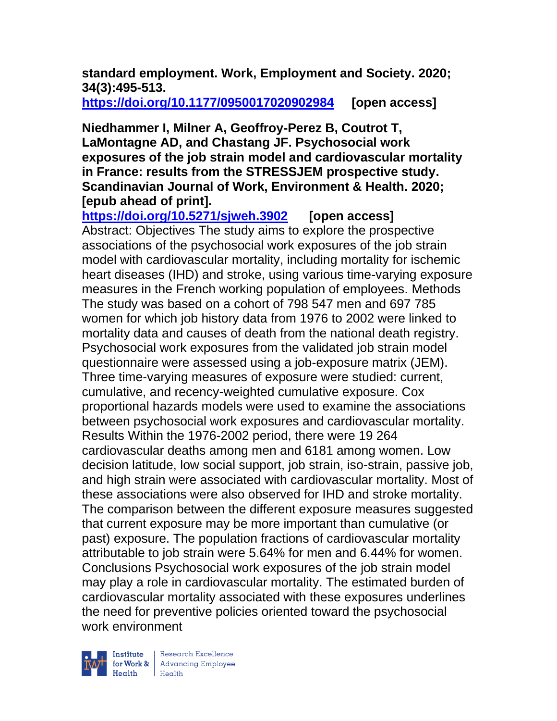**standard employment. Work, Employment and Society. 2020; 34(3):495-513.** 

**<https://doi.org/10.1177/0950017020902984> [open access]**

**Niedhammer I, Milner A, Geoffroy-Perez B, Coutrot T, LaMontagne AD, and Chastang JF. Psychosocial work exposures of the job strain model and cardiovascular mortality in France: results from the STRESSJEM prospective study. Scandinavian Journal of Work, Environment & Health. 2020; [epub ahead of print].**

**<https://doi.org/10.5271/sjweh.3902> [open access]** Abstract: Objectives The study aims to explore the prospective associations of the psychosocial work exposures of the job strain model with cardiovascular mortality, including mortality for ischemic heart diseases (IHD) and stroke, using various time-varying exposure measures in the French working population of employees. Methods The study was based on a cohort of 798 547 men and 697 785 women for which job history data from 1976 to 2002 were linked to mortality data and causes of death from the national death registry. Psychosocial work exposures from the validated job strain model questionnaire were assessed using a job-exposure matrix (JEM). Three time-varying measures of exposure were studied: current, cumulative, and recency-weighted cumulative exposure. Cox proportional hazards models were used to examine the associations between psychosocial work exposures and cardiovascular mortality. Results Within the 1976-2002 period, there were 19 264 cardiovascular deaths among men and 6181 among women. Low decision latitude, low social support, job strain, iso-strain, passive job, and high strain were associated with cardiovascular mortality. Most of these associations were also observed for IHD and stroke mortality. The comparison between the different exposure measures suggested that current exposure may be more important than cumulative (or past) exposure. The population fractions of cardiovascular mortality attributable to job strain were 5.64% for men and 6.44% for women. Conclusions Psychosocial work exposures of the job strain model may play a role in cardiovascular mortality. The estimated burden of cardiovascular mortality associated with these exposures underlines the need for preventive policies oriented toward the psychosocial work environment

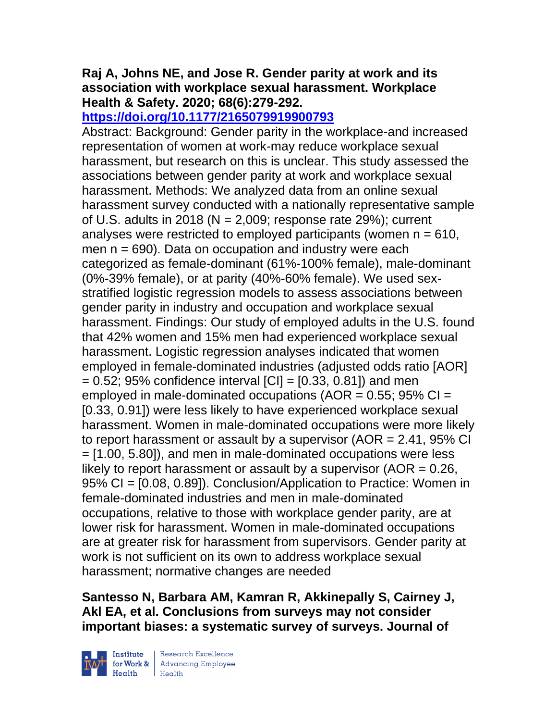# **Raj A, Johns NE, and Jose R. Gender parity at work and its association with workplace sexual harassment. Workplace Health & Safety. 2020; 68(6):279-292.**

# **<https://doi.org/10.1177/2165079919900793>**

Abstract: Background: Gender parity in the workplace-and increased representation of women at work-may reduce workplace sexual harassment, but research on this is unclear. This study assessed the associations between gender parity at work and workplace sexual harassment. Methods: We analyzed data from an online sexual harassment survey conducted with a nationally representative sample of U.S. adults in 2018 ( $N = 2,009$ ; response rate 29%); current analyses were restricted to employed participants (women  $n = 610$ , men  $n = 690$ . Data on occupation and industry were each categorized as female-dominant (61%-100% female), male-dominant (0%-39% female), or at parity (40%-60% female). We used sexstratified logistic regression models to assess associations between gender parity in industry and occupation and workplace sexual harassment. Findings: Our study of employed adults in the U.S. found that 42% women and 15% men had experienced workplace sexual harassment. Logistic regression analyses indicated that women employed in female-dominated industries (adjusted odds ratio [AOR]  $= 0.52$ ; 95% confidence interval  $|CI| = [0.33, 0.81]$  and men employed in male-dominated occupations ( $AOR = 0.55$ ; 95% CI = [0.33, 0.91]) were less likely to have experienced workplace sexual harassment. Women in male-dominated occupations were more likely to report harassment or assault by a supervisor (AOR = 2.41, 95% CI = [1.00, 5.80]), and men in male-dominated occupations were less likely to report harassment or assault by a supervisor ( $AOR = 0.26$ , 95% CI = [0.08, 0.89]). Conclusion/Application to Practice: Women in female-dominated industries and men in male-dominated occupations, relative to those with workplace gender parity, are at lower risk for harassment. Women in male-dominated occupations are at greater risk for harassment from supervisors. Gender parity at work is not sufficient on its own to address workplace sexual harassment; normative changes are needed

**Santesso N, Barbara AM, Kamran R, Akkinepally S, Cairney J, Akl EA, et al. Conclusions from surveys may not consider important biases: a systematic survey of surveys. Journal of** 



 $\begin{tabular}{|l|} Institute & Research Excellence \\ \hline for Work & Advancing Employee \\ Health & Health \\ \end{tabular}$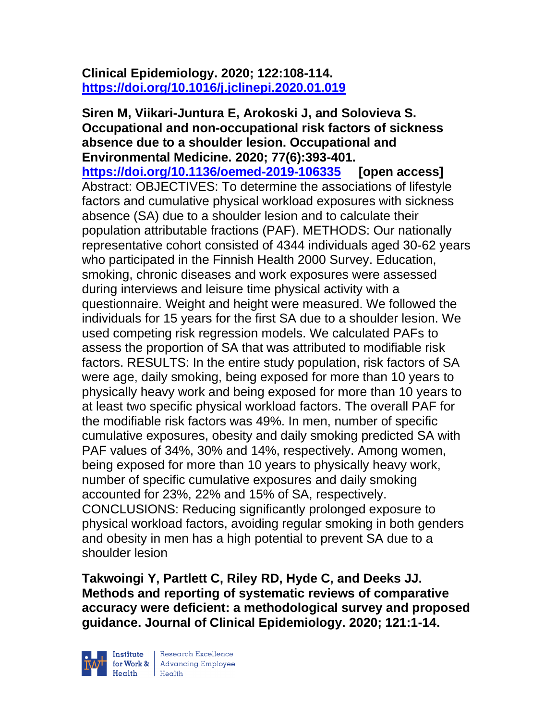# **Clinical Epidemiology. 2020; 122:108-114. <https://doi.org/10.1016/j.jclinepi.2020.01.019>**

**Siren M, Viikari-Juntura E, Arokoski J, and Solovieva S. Occupational and non-occupational risk factors of sickness absence due to a shoulder lesion. Occupational and Environmental Medicine. 2020; 77(6):393-401. <https://doi.org/10.1136/oemed-2019-106335> [open access]** Abstract: OBJECTIVES: To determine the associations of lifestyle factors and cumulative physical workload exposures with sickness absence (SA) due to a shoulder lesion and to calculate their population attributable fractions (PAF). METHODS: Our nationally representative cohort consisted of 4344 individuals aged 30-62 years who participated in the Finnish Health 2000 Survey. Education, smoking, chronic diseases and work exposures were assessed during interviews and leisure time physical activity with a questionnaire. Weight and height were measured. We followed the individuals for 15 years for the first SA due to a shoulder lesion. We used competing risk regression models. We calculated PAFs to assess the proportion of SA that was attributed to modifiable risk factors. RESULTS: In the entire study population, risk factors of SA were age, daily smoking, being exposed for more than 10 years to physically heavy work and being exposed for more than 10 years to at least two specific physical workload factors. The overall PAF for the modifiable risk factors was 49%. In men, number of specific cumulative exposures, obesity and daily smoking predicted SA with PAF values of 34%, 30% and 14%, respectively. Among women, being exposed for more than 10 years to physically heavy work, number of specific cumulative exposures and daily smoking accounted for 23%, 22% and 15% of SA, respectively. CONCLUSIONS: Reducing significantly prolonged exposure to physical workload factors, avoiding regular smoking in both genders and obesity in men has a high potential to prevent SA due to a shoulder lesion

**Takwoingi Y, Partlett C, Riley RD, Hyde C, and Deeks JJ. Methods and reporting of systematic reviews of comparative accuracy were deficient: a methodological survey and proposed guidance. Journal of Clinical Epidemiology. 2020; 121:1-14.**